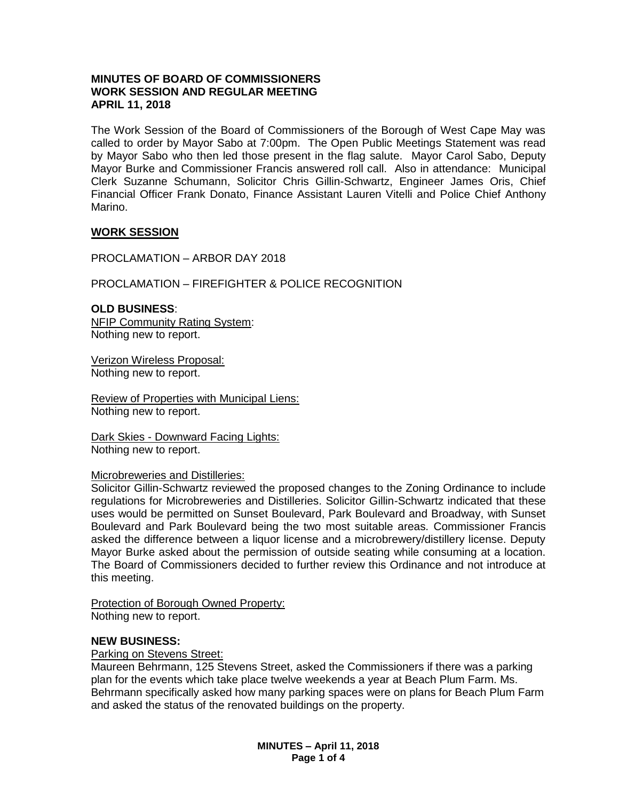# **MINUTES OF BOARD OF COMMISSIONERS WORK SESSION AND REGULAR MEETING APRIL 11, 2018**

The Work Session of the Board of Commissioners of the Borough of West Cape May was called to order by Mayor Sabo at 7:00pm. The Open Public Meetings Statement was read by Mayor Sabo who then led those present in the flag salute. Mayor Carol Sabo, Deputy Mayor Burke and Commissioner Francis answered roll call. Also in attendance: Municipal Clerk Suzanne Schumann, Solicitor Chris Gillin-Schwartz, Engineer James Oris, Chief Financial Officer Frank Donato, Finance Assistant Lauren Vitelli and Police Chief Anthony Marino.

## **WORK SESSION**

PROCLAMATION – ARBOR DAY 2018

## PROCLAMATION – FIREFIGHTER & POLICE RECOGNITION

**OLD BUSINESS**: NFIP Community Rating System: Nothing new to report.

Verizon Wireless Proposal: Nothing new to report.

Review of Properties with Municipal Liens: Nothing new to report.

Dark Skies - Downward Facing Lights: Nothing new to report.

## Microbreweries and Distilleries:

Solicitor Gillin-Schwartz reviewed the proposed changes to the Zoning Ordinance to include regulations for Microbreweries and Distilleries. Solicitor Gillin-Schwartz indicated that these uses would be permitted on Sunset Boulevard, Park Boulevard and Broadway, with Sunset Boulevard and Park Boulevard being the two most suitable areas. Commissioner Francis asked the difference between a liquor license and a microbrewery/distillery license. Deputy Mayor Burke asked about the permission of outside seating while consuming at a location. The Board of Commissioners decided to further review this Ordinance and not introduce at this meeting.

Protection of Borough Owned Property: Nothing new to report.

## **NEW BUSINESS:**

## Parking on Stevens Street:

Maureen Behrmann, 125 Stevens Street, asked the Commissioners if there was a parking plan for the events which take place twelve weekends a year at Beach Plum Farm. Ms. Behrmann specifically asked how many parking spaces were on plans for Beach Plum Farm and asked the status of the renovated buildings on the property.

> **MINUTES – April 11, 2018 Page 1 of 4**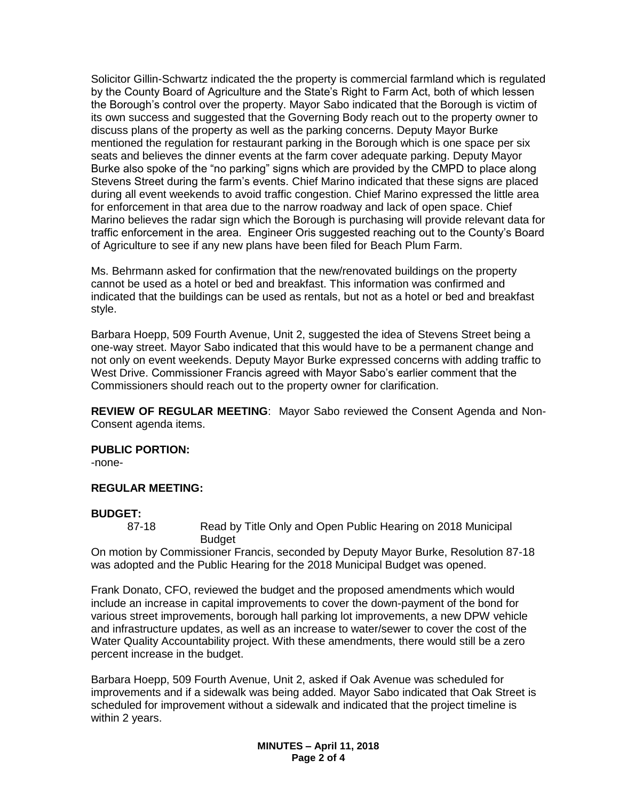Solicitor Gillin-Schwartz indicated the the property is commercial farmland which is regulated by the County Board of Agriculture and the State's Right to Farm Act, both of which lessen the Borough's control over the property. Mayor Sabo indicated that the Borough is victim of its own success and suggested that the Governing Body reach out to the property owner to discuss plans of the property as well as the parking concerns. Deputy Mayor Burke mentioned the regulation for restaurant parking in the Borough which is one space per six seats and believes the dinner events at the farm cover adequate parking. Deputy Mayor Burke also spoke of the "no parking" signs which are provided by the CMPD to place along Stevens Street during the farm's events. Chief Marino indicated that these signs are placed during all event weekends to avoid traffic congestion. Chief Marino expressed the little area for enforcement in that area due to the narrow roadway and lack of open space. Chief Marino believes the radar sign which the Borough is purchasing will provide relevant data for traffic enforcement in the area. Engineer Oris suggested reaching out to the County's Board of Agriculture to see if any new plans have been filed for Beach Plum Farm.

Ms. Behrmann asked for confirmation that the new/renovated buildings on the property cannot be used as a hotel or bed and breakfast. This information was confirmed and indicated that the buildings can be used as rentals, but not as a hotel or bed and breakfast style.

Barbara Hoepp, 509 Fourth Avenue, Unit 2, suggested the idea of Stevens Street being a one-way street. Mayor Sabo indicated that this would have to be a permanent change and not only on event weekends. Deputy Mayor Burke expressed concerns with adding traffic to West Drive. Commissioner Francis agreed with Mayor Sabo's earlier comment that the Commissioners should reach out to the property owner for clarification.

**REVIEW OF REGULAR MEETING**: Mayor Sabo reviewed the Consent Agenda and Non-Consent agenda items.

**PUBLIC PORTION:**

-none-

# **REGULAR MEETING:**

## **BUDGET:**

87-18 Read by Title Only and Open Public Hearing on 2018 Municipal Budget

On motion by Commissioner Francis, seconded by Deputy Mayor Burke, Resolution 87-18 was adopted and the Public Hearing for the 2018 Municipal Budget was opened.

Frank Donato, CFO, reviewed the budget and the proposed amendments which would include an increase in capital improvements to cover the down-payment of the bond for various street improvements, borough hall parking lot improvements, a new DPW vehicle and infrastructure updates, as well as an increase to water/sewer to cover the cost of the Water Quality Accountability project. With these amendments, there would still be a zero percent increase in the budget.

Barbara Hoepp, 509 Fourth Avenue, Unit 2, asked if Oak Avenue was scheduled for improvements and if a sidewalk was being added. Mayor Sabo indicated that Oak Street is scheduled for improvement without a sidewalk and indicated that the project timeline is within 2 years.

> **MINUTES – April 11, 2018 Page 2 of 4**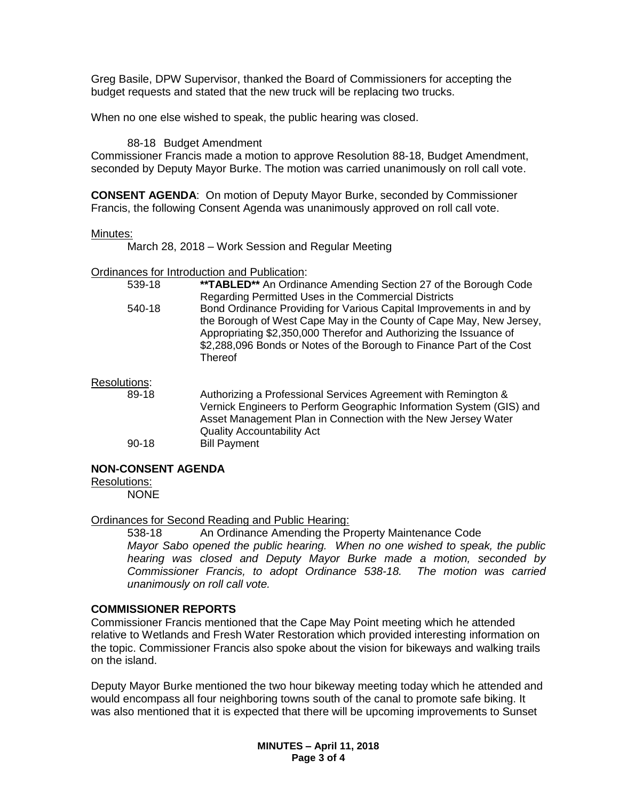Greg Basile, DPW Supervisor, thanked the Board of Commissioners for accepting the budget requests and stated that the new truck will be replacing two trucks.

When no one else wished to speak, the public hearing was closed.

88-18 Budget Amendment

Commissioner Francis made a motion to approve Resolution 88-18, Budget Amendment, seconded by Deputy Mayor Burke. The motion was carried unanimously on roll call vote.

**CONSENT AGENDA**: On motion of Deputy Mayor Burke, seconded by Commissioner Francis, the following Consent Agenda was unanimously approved on roll call vote.

#### Minutes:

March 28, 2018 – Work Session and Regular Meeting

#### Ordinances for Introduction and Publication:

| 539-18 | <b>**TABLED**</b> An Ordinance Amending Section 27 of the Borough Code |
|--------|------------------------------------------------------------------------|
|        | Regarding Permitted Uses in the Commercial Districts                   |
| 540-18 | Bond Ordinance Providing for Various Capital Improvements in and by    |
|        | the Borough of West Cape May in the County of Cape May, New Jersey,    |
|        | Appropriating \$2,350,000 Therefor and Authorizing the Issuance of     |
|        | \$2,288,096 Bonds or Notes of the Borough to Finance Part of the Cost  |
|        | <b>Thereof</b>                                                         |
|        |                                                                        |

#### Resolutions:

89-18 Authorizing a Professional Services Agreement with Remington & Vernick Engineers to Perform Geographic Information System (GIS) and Asset Management Plan in Connection with the New Jersey Water Quality Accountability Act 90-18 Bill Payment

## **NON-CONSENT AGENDA**

Resolutions:

NONE

## Ordinances for Second Reading and Public Hearing:

538-18 An Ordinance Amending the Property Maintenance Code *Mayor Sabo opened the public hearing. When no one wished to speak, the public hearing was closed and Deputy Mayor Burke made a motion, seconded by Commissioner Francis, to adopt Ordinance 538-18. The motion was carried unanimously on roll call vote.*

#### **COMMISSIONER REPORTS**

Commissioner Francis mentioned that the Cape May Point meeting which he attended relative to Wetlands and Fresh Water Restoration which provided interesting information on the topic. Commissioner Francis also spoke about the vision for bikeways and walking trails on the island.

Deputy Mayor Burke mentioned the two hour bikeway meeting today which he attended and would encompass all four neighboring towns south of the canal to promote safe biking. It was also mentioned that it is expected that there will be upcoming improvements to Sunset